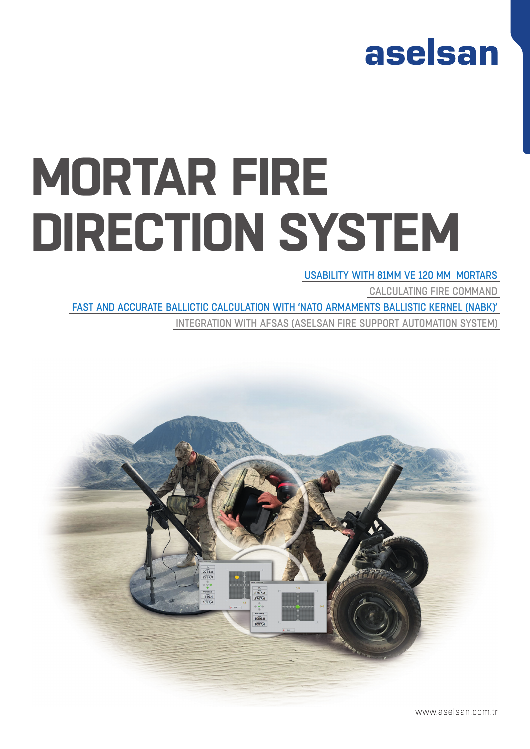## aselsan

# **MORTAR FIRE DIRECTION SYSTEM**

## USABILITY WITH 81MM VE 120 MM MORTARS

CALCULATING FIRE COMMAND

FAST AND ACCURATE BALLICTIC CALCULATION WITH 'NATO ARMAMENTS BALLISTIC KERNEL (NABK)'

INTEGRATION WITH AFSAS (ASELSAN FIRE SUPPORT AUTOMATION SYSTEM)